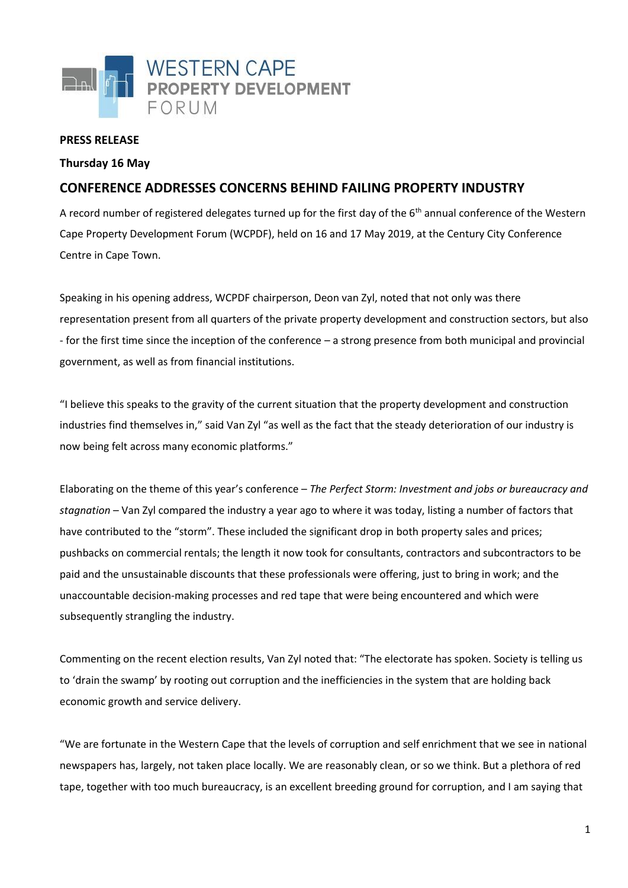

## **PRESS RELEASE**

## **Thursday 16 May**

## **CONFERENCE ADDRESSES CONCERNS BEHIND FAILING PROPERTY INDUSTRY**

A record number of registered delegates turned up for the first day of the 6<sup>th</sup> annual conference of the Western Cape Property Development Forum (WCPDF), held on 16 and 17 May 2019, at the Century City Conference Centre in Cape Town.

Speaking in his opening address, WCPDF chairperson, Deon van Zyl, noted that not only was there representation present from all quarters of the private property development and construction sectors, but also - for the first time since the inception of the conference – a strong presence from both municipal and provincial government, as well as from financial institutions.

"I believe this speaks to the gravity of the current situation that the property development and construction industries find themselves in," said Van Zyl "as well as the fact that the steady deterioration of our industry is now being felt across many economic platforms."

Elaborating on the theme of this year's conference – *The Perfect Storm: Investment and jobs or bureaucracy and stagnation* – Van Zyl compared the industry a year ago to where it was today, listing a number of factors that have contributed to the "storm". These included the significant drop in both property sales and prices; pushbacks on commercial rentals; the length it now took for consultants, contractors and subcontractors to be paid and the unsustainable discounts that these professionals were offering, just to bring in work; and the unaccountable decision-making processes and red tape that were being encountered and which were subsequently strangling the industry.

Commenting on the recent election results, Van Zyl noted that: "The electorate has spoken. Society is telling us to 'drain the swamp' by rooting out corruption and the inefficiencies in the system that are holding back economic growth and service delivery.

"We are fortunate in the Western Cape that the levels of corruption and self enrichment that we see in national newspapers has, largely, not taken place locally. We are reasonably clean, or so we think. But a plethora of red tape, together with too much bureaucracy, is an excellent breeding ground for corruption, and I am saying that